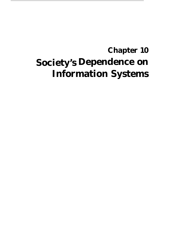# **Society's Dependence on Chapter 10 Information Systems**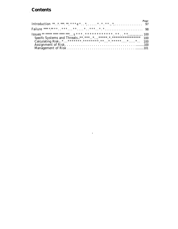## **Contents**

|  |  |  |  |  |  |  |  |  |  |  |  |  |  |  |  | Page |
|--|--|--|--|--|--|--|--|--|--|--|--|--|--|--|--|------|
|  |  |  |  |  |  |  |  |  |  |  |  |  |  |  |  |      |
|  |  |  |  |  |  |  |  |  |  |  |  |  |  |  |  |      |
|  |  |  |  |  |  |  |  |  |  |  |  |  |  |  |  |      |
|  |  |  |  |  |  |  |  |  |  |  |  |  |  |  |  |      |

 $\pmb{\delta}$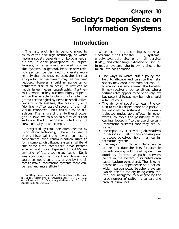## **Chapter 10 Society's Dependence on Information Systems**

## **Introduction**

The nature of risk is being changed by much of the new high technology on which modern society depends—jumbo commercial airlines, nuclear powerplants, oil supertankers, or large computer-based information systems. In general, because new technologies can be designed to operate more reliably than the ones replaced, the risk that any particular mechanism may fail has been reduced. However, should an accidental or deliberate disruption occur, its cost can be much larger, even catastrophic. Furthermore, when society becomes highly dependent on the reliable functioning of single integrated technological systems or small collections of such systems, the possibility of a "domino-like" collapse of several of the individual connected units could also be disastrous. The failure of the Northeast power grid in 1965, which blacked out much of that section of the United States including all of New York City, is an example. '

Integrated systems are often created by information technology. There has been a strong historical trend toward connecting components over communication lines to form complex distributed systems, while at the same time computers have become smaller and more dispersed. In OTA's examination of future technology (see ch. 13), it was concluded that this trend toward integration would continue, driven by the effort to make information systems more convenient and more efficient.

When examining technologies such as electronic funds transfer (EFT) systems, widely available electronic mail service (EMS), and other large extensively used information systems, the following should be taken into consideration.

- The ways in which public policy can help to allocate and balance the risks society may encounter from national information systems against the benefits it may receive, under conditions where failure rates appear to be relatively low but potential losses may be high should a failure occur.
- The ability of society to retain the option to end its dependence on a particular information system if it has unanticipated undesirable effects; in other words, to avoid the possibility of becoming "locked in" to the use of certain information systems once they are installed.
- The capability of providing alternatives to persons or institutions choosing not to accept perceived risks in a new information system.
- The ways in which technology can be utilized to reduce the risks, for example by introducing additional system redundancy (alternative paths between points in the system, distributed data bases, backup computers). The risks inherent in U.S. dependence on a nationwide, interconnected telephone system (which itself is rapidly being computerized) are mitigated to a degree by the large number of switching centers and parallel trunklines.

<sup>.—</sup> 'Rob Kling, "Value Conflicts and Social Choice in Electronic Funds Transfer Systems Developments, Communications *of the A ssocia tion for Computing Machinery, vol. 21* No. 8, August 1978, pp. 642-657.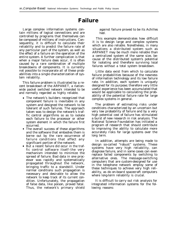## **Failure**

Large complex information systems contain millions of logical connections and are controlled by programs that themselves can be composed of millions of instructions. Consequently, it is difficult to calculate their reliability and to predict the failure rate of any particular part of the system, as well as the effect of a failure on the operation of the entire system. A further complication is that when a major failure does occur, it is often caused by a rare combination of multiple breakdowns of components. It is currently not possible to incorporate all of these probabilities into a single characterization of system reliability.

This failure problem is illustrated by a recent breakdown of the ARPANET, a nationwide packet switched network intended to be and normally regarded as highly reliable.

- The network's builders recognized that component failure is inevitable in any system and designed the network to be tolerant of such failures. The approach taken was to design the network's traffic control algorithms so as to isolate each failure to the processor or other system element in which the failure first occurred.
- The overall success of these algorithms and the software that embodies them is borne out by the rare occurrence of failure conditions that affect any significant portion of the network.
- But a recent failure did occur in the traffic control software itself–the very mechanism intended to minimize the spread of failure. Bad data in one processor was rapidly and systematically propagated throughout the network, bringing traffic to a standstill. Under normal conditions such propagation is necessary and desirable to allow the network to keep track of its current condition. Unfortunately, the propagation of false data, like poison, proved fatal. Thus, the network's primary shield

against failure proved to be its Achilles heel.

This example demonstrates how difficult it is to design large and complex systems which are also reliable. Nonetheless, in many situations a distributed system such as ARPANET may be much more reliable than a centralized system of the same size, because of the distributed system's potential for isolating and therefore surviving local failures without a total system breakdown.

Little data exist from which to calculate failure probabilities because of the newness of information technology and its low failure rate. In addition, each system is uniquely designed for its purpose; therefore very little useful experience has been accumulated that would be applicable to calculating the probability of the potential failure rate for large complex systems in general.

The problem of estimating risks under conditions characterized by an uncertain but very low probability of failure and by a very high potential cost of failure has stimulated a burst of new research in risk analysis. The National Science Foundation has initiated a program of research that should contribute to improving the ability to calculate more accurately risks for large systems over the long term.

In addition, attempts are being made to design so-called "robust" systems. These systems have very high reliability, can diagnose failure, and in some cases can even replace failed components by switching to alternative ones. The message-switching computers that are custom-designed for use in the telephone network employ some of these techniques to achieve very high reliability, as do on-board spacecraft computers where long-term reliability is crucial.

It is difficult to carry out risk analysis for integrated information systems for the following reasons: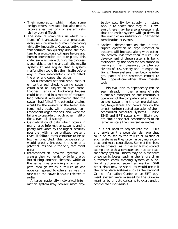- Their *complexity,* which makes some design errors inevitable but also makes accurate estimations of system reliability very difficult.
- The *speed of computers,* in which millions of transactions are processed every minute, makes human monitoring virtually impossible. Consequently, system failures can quickly drive the system to a worst-case collapse before any human intervention can take place. This criticism was made during the congressional debate on the antiballistic missile system. It was argued that a system malfunction could fire the missile before any human intervention could detect the error and cancel the action.

An automated national stock market or centralized check clearing system could also be subject to such catastrophes. Banks or brokerage houses could be ruined in a matter of minutes, long before it was discovered that the system had failed. The potential victims would be the owners of the failed system, individuals with accounts, correspondent organizations, and, were the failure to cascade through other institutions, even all of society.

- *Centralization of data* which occurs in many large information systems and is partly motivated by the higher security possible with a centralized system. Even if failure rates continue to be as low as predicted, this concentration would greatly increase the size of a potential loss should the very rare event occur.
- *Interconnection between systems* increases their vulnerability to failure by introducing another element, while at the same time providing a connecting path through which a failure at one node can spread to others, as was the case with the power blackout referred to earlier.

A large, nationally networked information system may provide more day-

to-day security by supplying instant backup to nodes that may fail. However, there may be also a greater risk that the entire system will go down in the event of an unlikely or unexpected combination of events.

● *Societal dependence* on the uninterrupted operation of large information systems will increase along with potential societal loss from their failure. The development of these systems is being motivated by the need for assistance in managing the increasingly complex activities of U.S. society and its organizations. These systems then become integral parts of the processes–central to their operation–rather than merely tools.

This evolution to dependency can be seen already in the reliance of safe public air transport on the continuous operation of the computerized air traffic control system. In the commercial sector, large stores and banks rely on the smooth uninterrupted operation of their centralized computer systems. Future EMS and EFT systems will likely create similar societal dependencies much larger in scale than current examples.

It is not hard to project into the 1980's and envision the potential damage that could be caused by the failure or misuse of such systems as they grow larger, more complex, and more centralized. Some of the risks may be *physical* as in the air traffic control example or with a computerized nuclear reactor safety system. Others may be in the form of *economic* losses, such as the failure of an automated check clearing system or a national automated securities market. Still other risks may be *social,* as would occur if the larger data systems such as the National Crime Information Center or an EFT payment system were misused by the Government or by private concerns to exert undue control over individuals.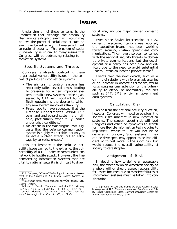### **Issues**

Underlying all of these concerns is the . realization that although the probability that any catastrophic event will occur may be low, the potential social cost of such an event can be extremely high—even a threat to national security. This problem of social vulnerability is crucial to many issues that Congress will be addressing relating to information systems.

#### Specific Systems and Threats

Congress is already confronting these larger social vulnerability issues in the context of particular information systems:

- The air traffic control system has reportedly failed several times, leading to pressures for a new improved system. Possible new systems are being assessed by OTA.<sup>2</sup> An important but difficult question is the degree to which any new system improves reliability.
- Press reports have suggested that the Defense Department's WWMCCS\* command and control system is unreliable, particularly when fully loaded under crisis conditions.<sup>3</sup>
- An article in the Washington Post suggests that the defense communication system is highly vulnerable, not only to full-scale nuclear attack, but to sabotage by terrorist groups.<sup>4</sup>

This last instance is the social vulnerability issue carried to the extreme, the vulnerability of a U.S. defense communications network to hostile attack. However, the line demarcating information systems that are vital to national security is difficult to draw,

for it may include major civilian domestic systems.

Ever since Soviet interception of U.S. domestic telecommunications was reported, the executive branch has been working toward securing civilian government communications. They have also been concerned with the national security threats to domestic private communications, but the development of a policy has been slow and difficult due to the need to avoid substantial Federal intrusion into the private sector.<sup>5</sup>

Events over the next decade, such as a chilling of relations with foreign adversaries or an increase in domestic terrorism, would focus congressional attention on the vulnerability to attack of nonmilitary facilities such as EFT, EMS, or civilian government data systems.

#### Calculating Risk

Aside from the national security question, however, Congress will need to consider the societal risks inherent in new information systems. The concern about risk will lead Congress and other policymakers to search for more flexible information technologies to implement, whose failure will not be so devastating to society. Such systems, if they can be developed, may appear to be less efficient or to cost more in the short run, but would reduce the overall vulnerability of society to catastrophe.

#### Assignment of Risk

In deciding how to define an acceptable risk, the extent to which American society as a whole will or should accept responsibility for losses incurred due to massive failures of information systems must be taken into consideration.

<sup>&#</sup>x27;U.S. Congress, Office of Technology Assessment, *Assessment of the Airport and Air Traffic Control System,* in progress.

<sup>\*</sup>An acronym for the *World Wide Military Command and Control System.*

<sup>3</sup>William J. Broad, "Computers and the U.S. Military Don't Mix, " Science, vol. 207, Mar. 14, 1980, pp. 1183-1187.

<sup>&#</sup>x27;Joseph Albright, "The Message Gap in Our Crisis Network, " *Washington Post,* Oct. 19, 1980, pp. Cl, C4.

<sup>&#</sup>x27;G. Lipsound, *Private and Public Defenses Against Soviet* Interception of U.S. Telecommunication: Problems and Pol*icy Points* (Cambridge, Mass.: Harvard University Center for Information Policy Research, 1979).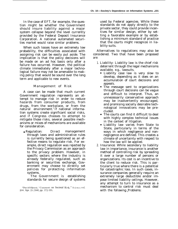In the case of EFT, for example, the question might be whether the Government should insure liability against a major system collapse beyond the level currently provided by the Federal Deposit Insurance Corporation. A national automated securities market would raise similar problems.

When such losses have an extremely low probability, the difficulties associated with assigning risk can be easily put aside. The implication is that the policy decisions will be made on an ad hoc basis only after a failure has occurred. However, the political climate immediately after a major technological failure may not be amenable to making policy that would be sound over the long term and applicable to new events.

#### Management of Risk

A case can be made that much current Government regulation represents an attempt to manage risk in order to reduce hazards from consumer products, from drugs, from the workplace, or from the natural environment.<sup>6</sup> If national information systems create significant social risks, and if Congress chooses to attempt to mitigate those risks, several possible mechanisms or mixes of mechanisms are available for consideration.

• *Regulation:* Direct management through laws and administrative rules is currently being questioned as an effective means to regulate risk. For example, direct regulation was rejected by the Privacy Commission as an approach to the privacy problem. However, in specific sectors where the industry is already federally regulated, such as banking or securities exchange, Government may choose to directly set policies for protecting information systems.

The Government is establishing standards for secure design of systems

used by Federal agencies. While these standards do not apply directly to the private sector, they could provide incentives for similar design, either by setting a favorable example or by establishing a minimum standard of practice that the courts might recognize in liability suits.

Alternatives to regulations may also be considered. Two that have been proposed are:

- 1. *Liability:* Liability law is the chief risk deterrent through the legal mechanisms available, e.g., lawsuits.
	- Liability case law is very slow to develop, depending as it does on an accumulation of court decisions and appeals.
	- The message sent to organizations through court decisions can be vague and difficult to interpret. Thus, an unnecessarily conservative approach may be inadvertently encouraged, and promising socially desirable technological innovations may be precluded.
	- The courts can find it difficult to deal with highly complex technical issues in the context of litigation.
	- Liability law varies from State to State, particularly in terms of the ways in which negligence and nonnegligence are defined. This creates a climate of uncertainty with respect to how the law will be applied.
- 2. *Insurance:* While secondary to liability law in importance, insurance is another method of controlling risk by spreading it over a large number of persons or organizations. Its cost is an incentive to the client to reduce risk. This is particularly true where there is a potential for catastrophic loss. In such cases, insurance companies generally require an extremely large deductible and/or impose limited liability ceilings. However, any attempt to turn to insurance as a mechanism to control risk must deal with the following Problems:

<sup>~</sup>Da~id okrent, "('omment on Societal ltisk, " Sricncc), vol. 208, Apr. 25, 1980, pp. 372-395.